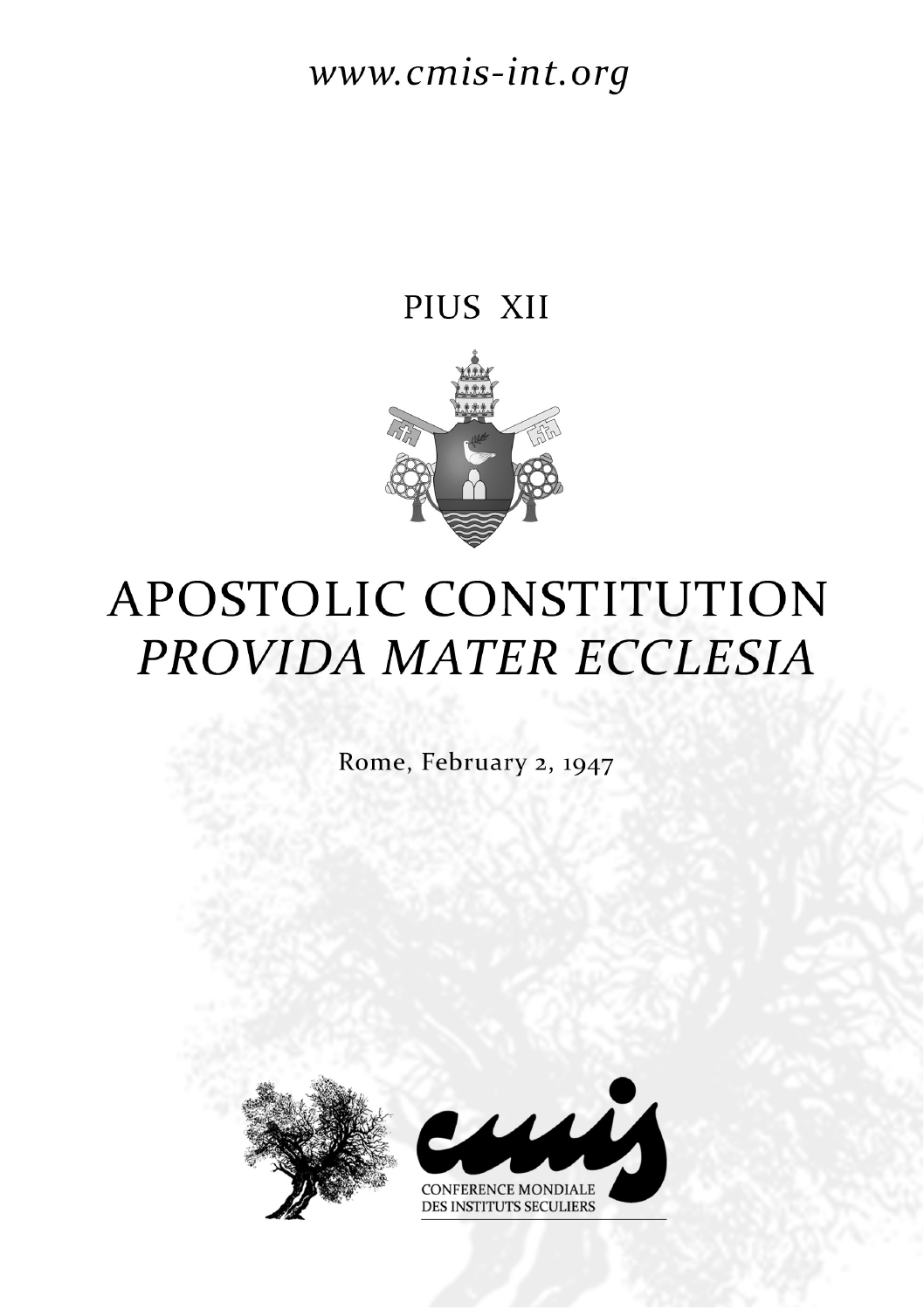# www.cmis-int.org

## PIUS XII



# APOSTOLIC CONSTITUTION PROVIDA MATER ECCLESIA

Rome, February 2, 1947



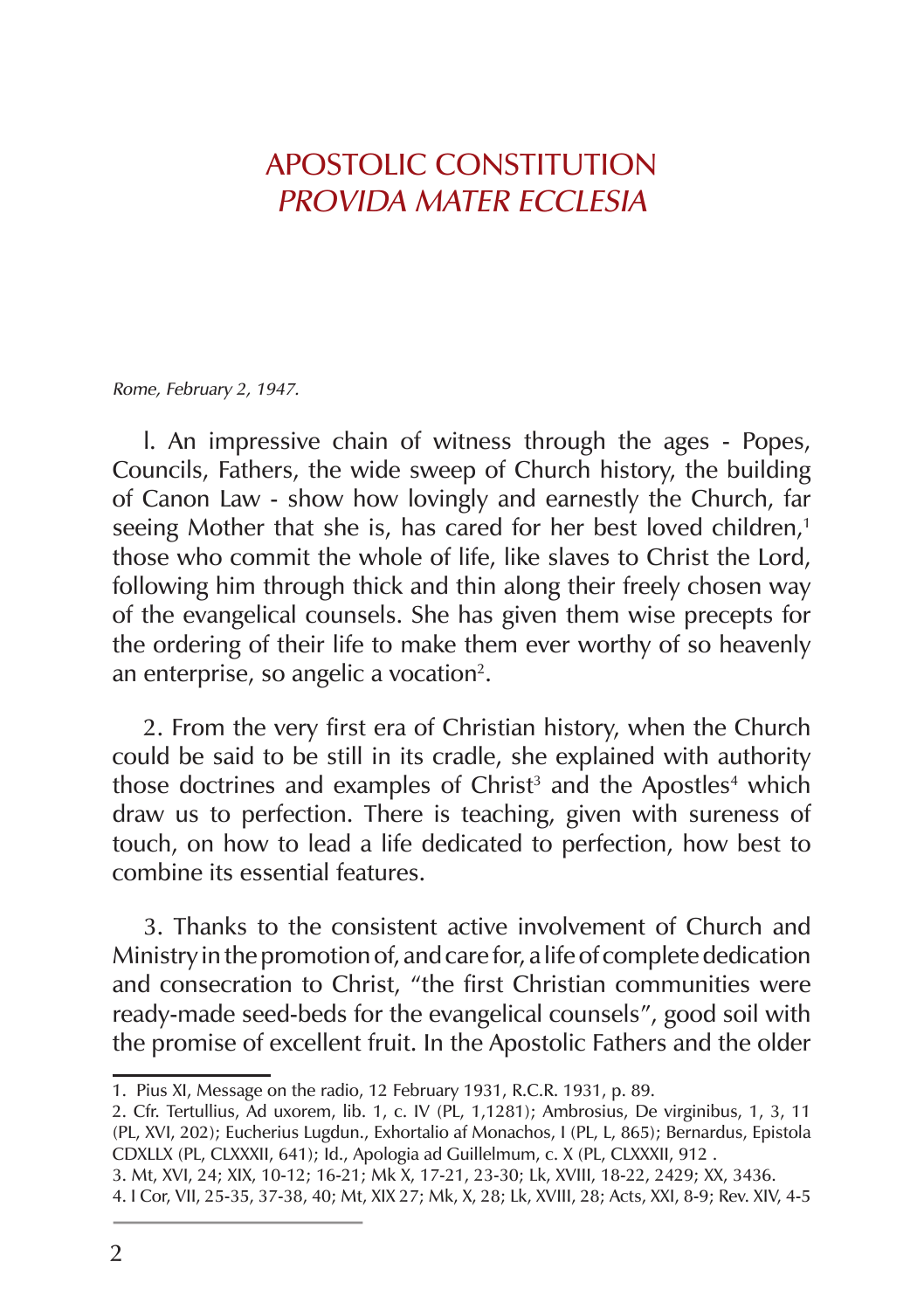#### APOSTOLIC CONSTITUTION PROVIDA MATER ECCLESIA

Rome, February 2, 1947.

l. An impressive chain of witness through the ages ‑ Popes, Councils, Fathers, the wide sweep of Church history, the building of Canon Law ‑ show how lovingly and earnestly the Church, far seeing Mother that she is, has cared for her best loved children,<sup>1</sup> those who commit the whole of life, like slaves to Christ the Lord, following him through thick and thin along their freely chosen way of the evangelical counsels. She has given them wise precepts for the ordering of their life to make them ever worthy of so heavenly an enterprise, so angelic a vocation<sup>2</sup>.

2. From the very first era of Christian history, when the Church could be said to be still in its cradle, she explained with authority those doctrines and examples of Christ<sup>3</sup> and the Apostles<sup>4</sup> which draw us to perfection. There is teaching, given with sureness of touch, on how to lead a life dedicated to perfection, how best to combine its essential features.

3. Thanks to the consistent active involvement of Church and Ministry in the promotion of, and care for, a life of complete dedication and consecration to Christ, "the first Christian communities were ready-made seed-beds for the evangelical counsels", good soil with the promise of excellent fruit. In the Apostolic Fathers and the older

<sup>1.</sup> Pius XI, Message on the radio, 12 February 1931, R.C.R. 1931, p. 89.

<sup>2.</sup> Cfr. Tertullius, Ad uxorem, lib. 1, c. IV (PL, 1,1281); Ambrosius, De virginibus, 1, 3, 11 (PL, XVI, 202); Eucherius Lugdun., Exhortalio af Monachos, I (PL, L, 865); Bernardus, Epistola CDXLLX (PL, CLXXXII, 641); Id., Apologia ad Guillelmum, c. X (PL, CLXXXII, 912 .

<sup>3.</sup> Mt, XVI, 24; XIX, 10‑12; 16‑21; Mk X, 17‑21, 23‑30; Lk, XVIII, 18‑22, 2429; XX, 3436.

<sup>4.</sup> I Cor, VII, 25‑35, 37‑38, 40; Mt, XIX 27; Mk, X, 28; Lk, XVIII, 28; Acts, XXI, 8‑9; Rev. XIV, 4‑5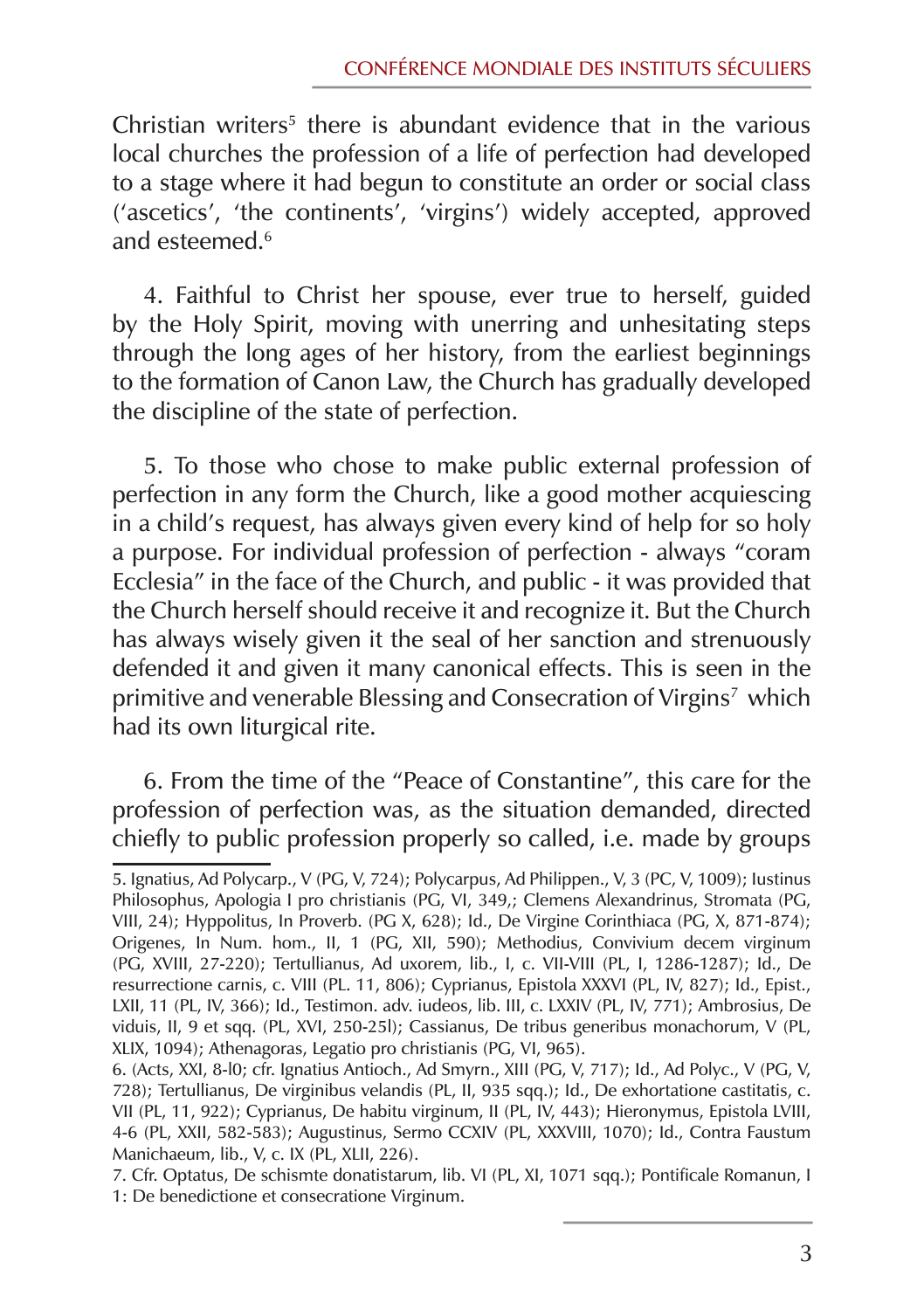Christian writers<sup>5</sup> there is abundant evidence that in the various local churches the profession of a life of perfection had developed to a stage where it had begun to constitute an order or social class ('ascetics', 'the continents', 'virgins') widely accepted, approved and esteemed.6

4. Faithful to Christ her spouse, ever true to herself, guided by the Holy Spirit, moving with unerring and unhesitating steps through the long ages of her history, from the earliest beginnings to the formation of Canon Law, the Church has gradually developed the discipline of the state of perfection.

5. To those who chose to make public external profession of perfection in any form the Church, like a good mother acquiescing in a child's request, has always given every kind of help for so holy a purpose. For individual profession of perfection ‑ always "coram Ecclesia" in the face of the Church, and public ‑ it was provided that the Church herself should receive it and recognize it. But the Church has always wisely given it the seal of her sanction and strenuously defended it and given it many canonical effects. This is seen in the primitive and venerable Blessing and Consecration of Virgins<sup>7</sup> which had its own liturgical rite.

6. From the time of the "Peace of Constantine", this care for the profession of perfection was, as the situation demanded, directed chiefly to public profession properly so called, i.e. made by groups

<sup>5.</sup> Ignatius, Ad Polycarp., V (PG, V, 724); Polycarpus, Ad Philippen., V, 3 (PC, V, 1009); Iustinus Philosophus, Apologia I pro christianis (PG, VI, 349,; Clemens Alexandrinus, Stromata (PG, VIII, 24); Hyppolitus, In Proverb. (PG X, 628); Id., De Virgine Corinthiaca (PG, X, 871‑874); Origenes, In Num. hom., II, 1 (PG, XII, 590); Methodius, Convivium decem virginum (PG, XVIII, 27‑220); Tertullianus, Ad uxorem, lib., I, c. VII‑VIII (PL, I, 1286‑1287); Id., De resurrectione carnis, c. VIII (PL. 11, 806); Cyprianus, Epistola XXXVI (PL, IV, 827); Id., Epist., LXII, 11 (PL, IV, 366); Id., Testimon. adv. iudeos, lib. III, c. LXXIV (PL, IV, 771); Ambrosius, De viduis, II, 9 et sqq. (PL, XVI, 250‑25l); Cassianus, De tribus generibus monachorum, V (PL, XLIX, 1094); Athenagoras, Legatio pro christianis (PG, VI, 965).

<sup>6. (</sup>Acts, XXI, 8‑l0; cfr. Ignatius Antioch., Ad Smyrn., XIII (PG, V, 717); Id., Ad Polyc., V (PG, V, 728); Tertullianus, De virginibus velandis (PL, II, 935 sqq.); Id., De exhortatione castitatis, c. VII (PL, 11, 922); Cyprianus, De habitu virginum, II (PL, IV, 443); Hieronymus, Epistola LVIII, 4‑6 (PL, XXII, 582‑583); Augustinus, Sermo CCXIV (PL, XXXVIII, 1070); Id., Contra Faustum Manichaeum, lib., V, c. IX (PL, XLII, 226).

<sup>7.</sup> Cfr. Optatus, De schismte donatistarum, lib. VI (PL, XI, 1071 sqq.); Pontificale Romanun, I 1: De benedictione et consecratione Virginum.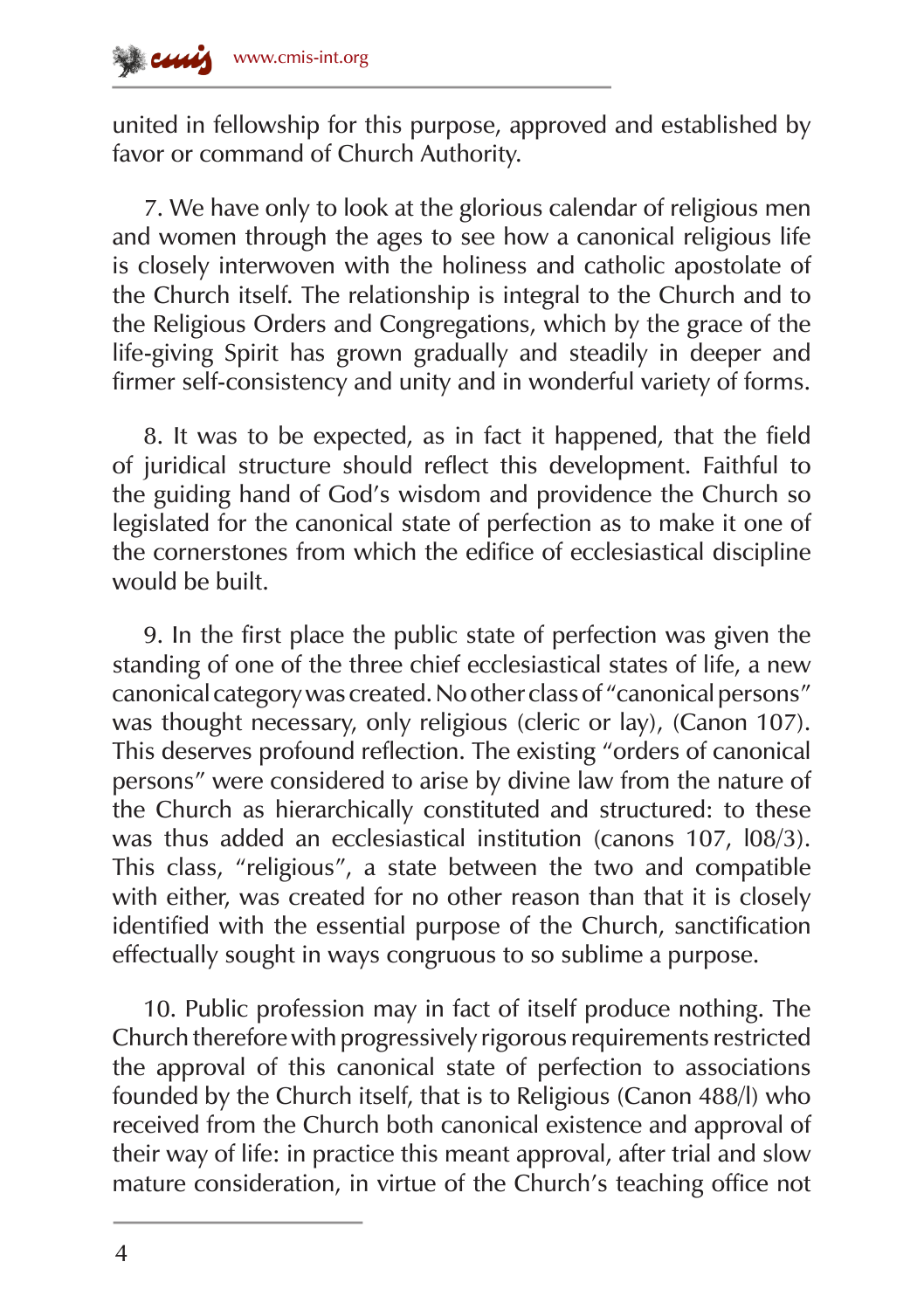united in fellowship for this purpose, approved and established by favor or command of Church Authority.

7. We have only to look at the glorious calendar of religious men and women through the ages to see how a canonical religious life is closely interwoven with the holiness and catholic apostolate of the Church itself. The relationship is integral to the Church and to the Religious Orders and Congregations, which by the grace of the life‑giving Spirit has grown gradually and steadily in deeper and firmer self-consistency and unity and in wonderful variety of forms.

8. It was to be expected, as in fact it happened, that the field of juridical structure should reflect this development. Faithful to the guiding hand of God's wisdom and providence the Church so legislated for the canonical state of perfection as to make it one of the cornerstones from which the edifice of ecclesiastical discipline would be built.

9. In the first place the public state of perfection was given the standing of one of the three chief ecclesiastical states of life, a new canonical category was created. No other class of "canonical persons" was thought necessary, only religious (cleric or lay), (Canon 107). This deserves profound reflection. The existing "orders of canonical persons" were considered to arise by divine law from the nature of the Church as hierarchically constituted and structured: to these was thus added an ecclesiastical institution (canons 107, l08/3). This class, "religious", a state between the two and compatible with either, was created for no other reason than that it is closely identified with the essential purpose of the Church, sanctification effectually sought in ways congruous to so sublime a purpose.

10. Public profession may in fact of itself produce nothing. The Church therefore with progressively rigorous requirements restricted the approval of this canonical state of perfection to associations founded by the Church itself, that is to Religious (Canon 488/l) who received from the Church both canonical existence and approval of their way of life: in practice this meant approval, after trial and slow mature consideration, in virtue of the Church's teaching office not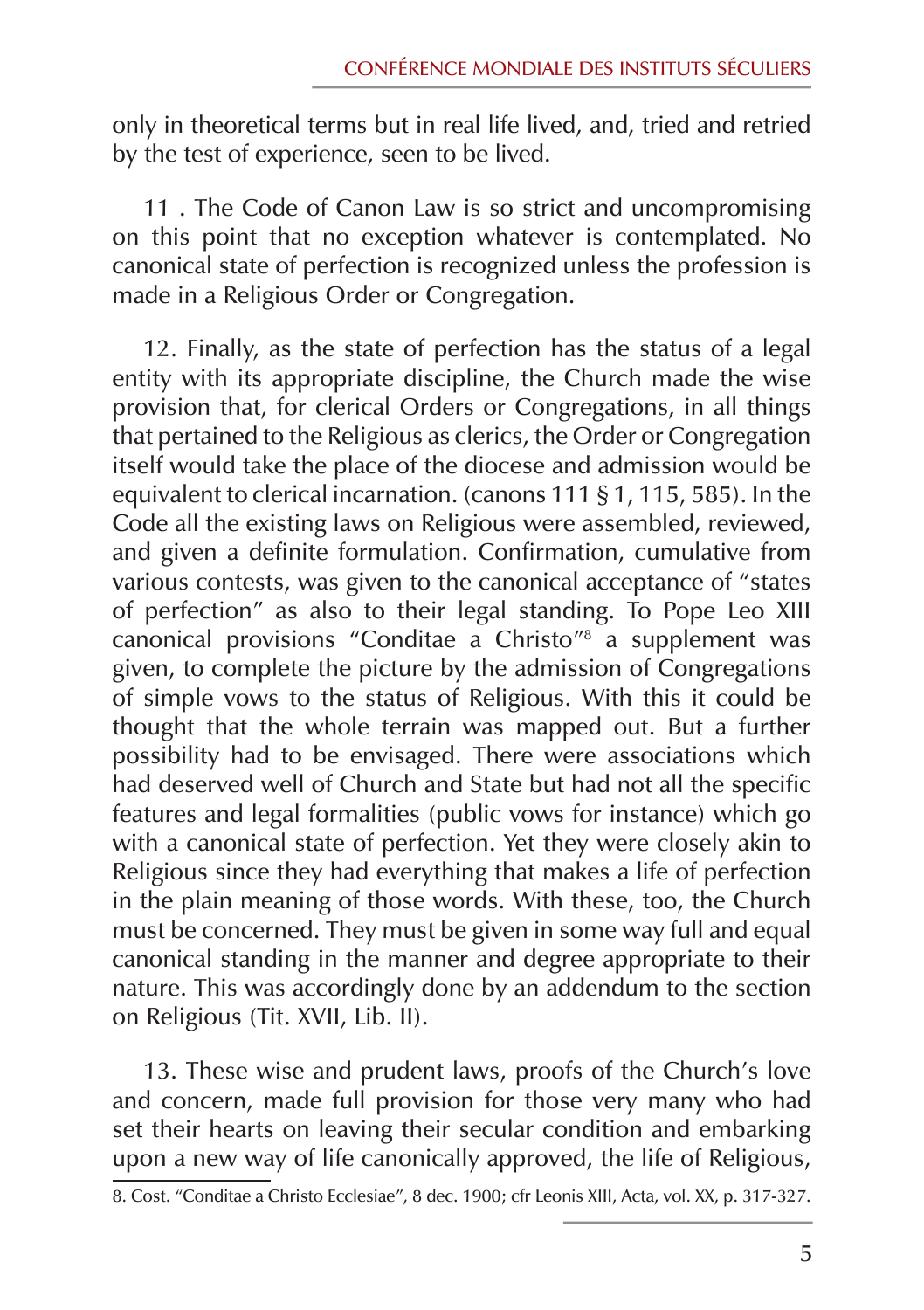only in theoretical terms but in real life lived, and, tried and retried by the test of experience, seen to be lived.

11 . The Code of Canon Law is so strict and uncompromising on this point that no exception whatever is contemplated. No canonical state of perfection is recognized unless the profession is made in a Religious Order or Congregation.

12. Finally, as the state of perfection has the status of a legal entity with its appropriate discipline, the Church made the wise provision that, for clerical Orders or Congregations, in all things that pertained to the Religious as clerics, the Order or Congregation itself would take the place of the diocese and admission would be equivalent to clerical incarnation. (canons 111 § 1, 115, 585). In the Code all the existing laws on Religious were assembled, reviewed, and given a definite formulation. Confirmation, cumulative from various contests, was given to the canonical acceptance of "states of perfection" as also to their legal standing. To Pope Leo XIII canonical provisions "Conditae a Christo"8 a supplement was given, to complete the picture by the admission of Congregations of simple vows to the status of Religious. With this it could be thought that the whole terrain was mapped out. But a further possibility had to be envisaged. There were associations which had deserved well of Church and State but had not all the specific features and legal formalities (public vows for instance) which go with a canonical state of perfection. Yet they were closely akin to Religious since they had everything that makes a life of perfection in the plain meaning of those words. With these, too, the Church must be concerned. They must be given in some way full and equal canonical standing in the manner and degree appropriate to their nature. This was accordingly done by an addendum to the section on Religious (Tit. XVII, Lib. II).

13. These wise and prudent laws, proofs of the Church's love and concern, made full provision for those very many who had set their hearts on leaving their secular condition and embarking upon a new way of life canonically approved, the life of Religious,

<sup>8.</sup> Cost. "Conditae a Christo Ecclesiae", 8 dec. 1900; cfr Leonis XIII, Acta, vol. XX, p. 317‑327.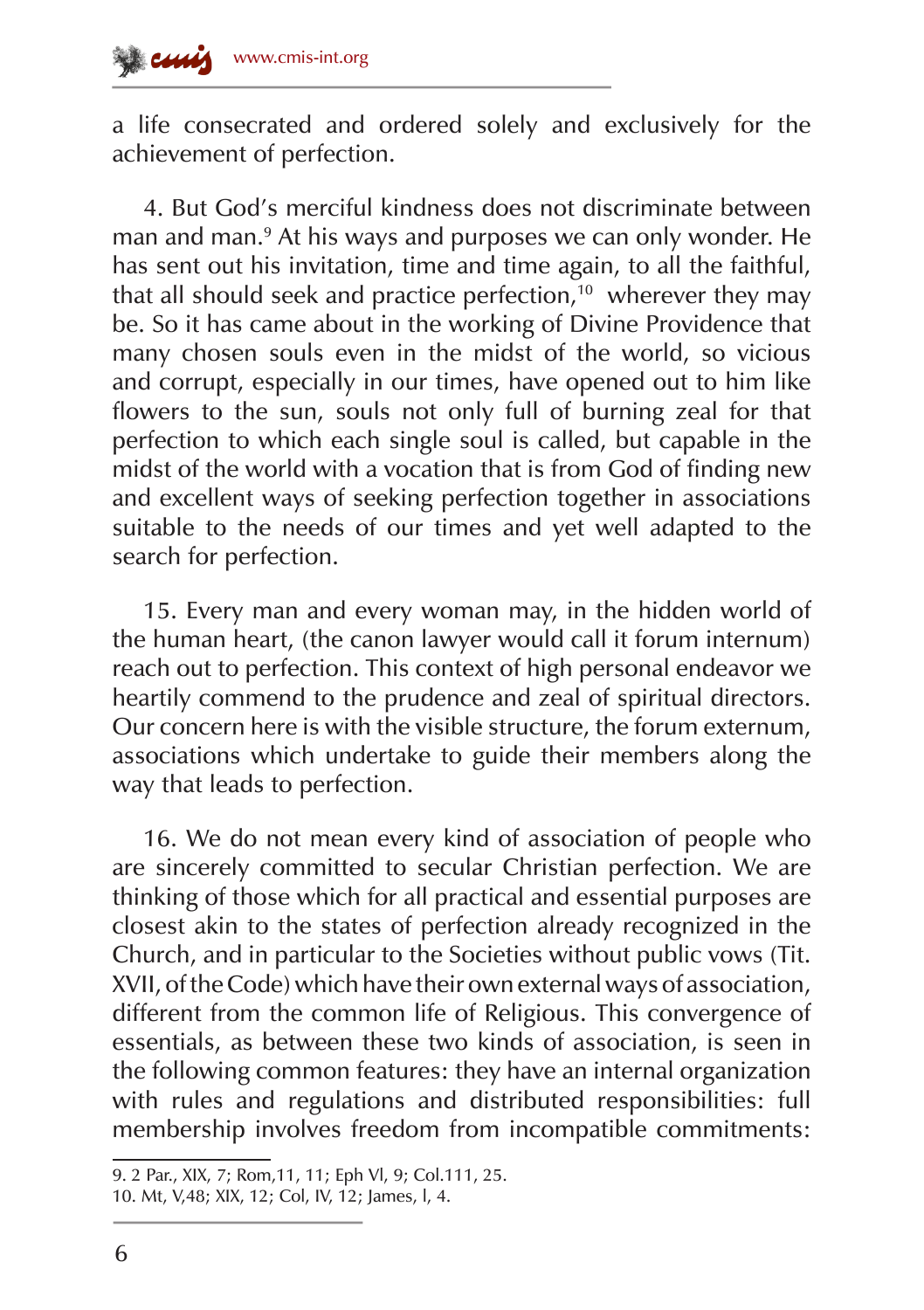a life consecrated and ordered solely and exclusively for the achievement of perfection.

4. But God's merciful kindness does not discriminate between man and man.9 At his ways and purposes we can only wonder. He has sent out his invitation, time and time again, to all the faithful, that all should seek and practice perfection,<sup>10</sup> wherever they may be. So it has came about in the working of Divine Providence that many chosen souls even in the midst of the world, so vicious and corrupt, especially in our times, have opened out to him like flowers to the sun, souls not only full of burning zeal for that perfection to which each single soul is called, but capable in the midst of the world with a vocation that is from God of finding new and excellent ways of seeking perfection together in associations suitable to the needs of our times and yet well adapted to the search for perfection.

15. Every man and every woman may, in the hidden world of the human heart, (the canon lawyer would call it forum internum) reach out to perfection. This context of high personal endeavor we heartily commend to the prudence and zeal of spiritual directors. Our concern here is with the visible structure, the forum externum, associations which undertake to guide their members along the way that leads to perfection.

16. We do not mean every kind of association of people who are sincerely committed to secular Christian perfection. We are thinking of those which for all practical and essential purposes are closest akin to the states of perfection already recognized in the Church, and in particular to the Societies without public vows (Tit. XVII, of the Code) which have their own external ways of association, different from the common life of Religious. This convergence of essentials, as between these two kinds of association, is seen in the following common features: they have an internal organization with rules and regulations and distributed responsibilities: full membership involves freedom from incompatible commitments:

<sup>9. 2</sup> Par., XIX, 7; Rom,11, 11; Eph Vl, 9; Col.111, 25.

<sup>10.</sup> Mt, V,48; XIX, 12; Col, IV, 12; James, l, 4.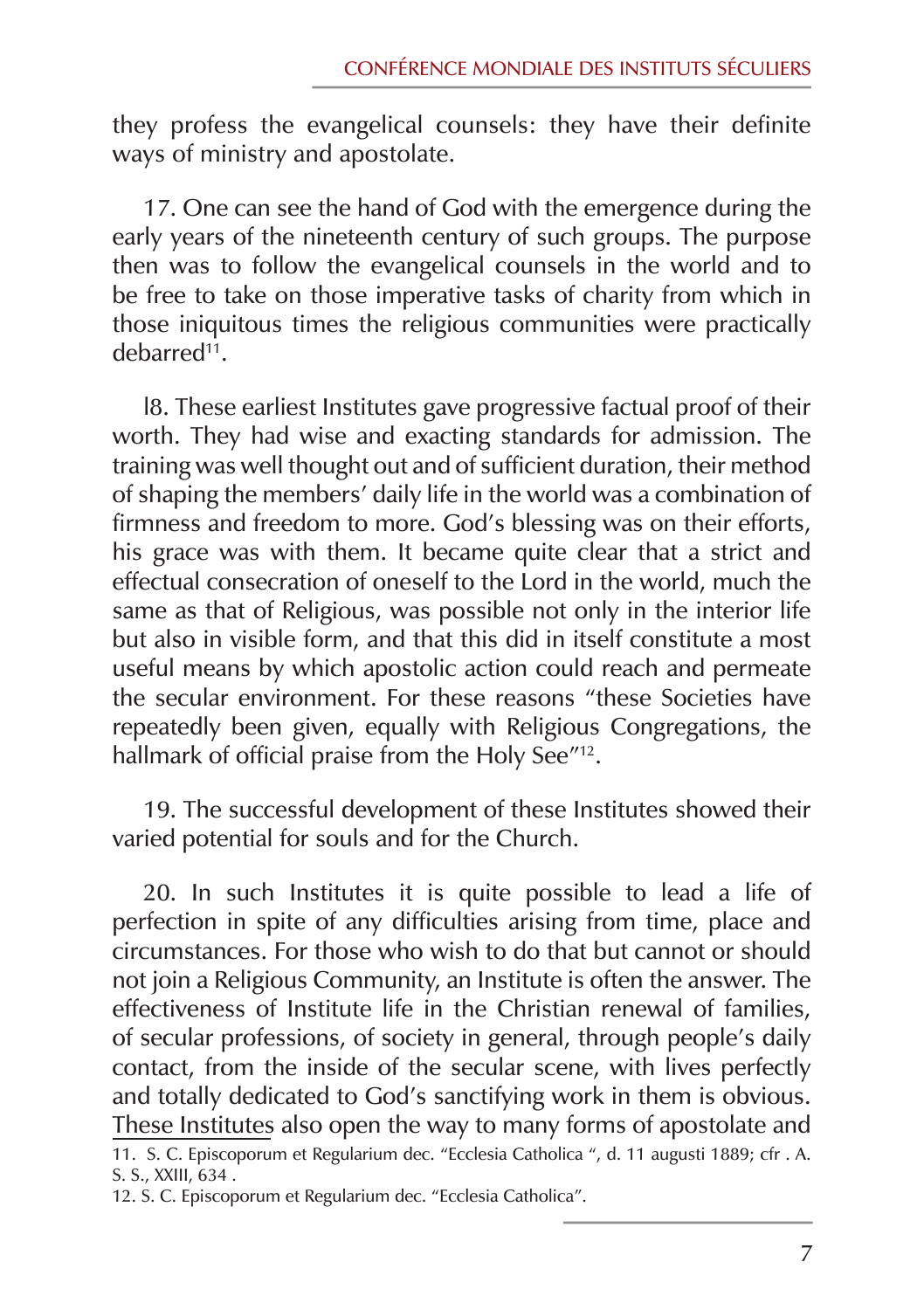they profess the evangelical counsels: they have their definite ways of ministry and apostolate.

17. One can see the hand of God with the emergence during the early years of the nineteenth century of such groups. The purpose then was to follow the evangelical counsels in the world and to be free to take on those imperative tasks of charity from which in those iniquitous times the religious communities were practically debarred11.

l8. These earliest Institutes gave progressive factual proof of their worth. They had wise and exacting standards for admission. The training was well thought out and of sufficient duration, their method of shaping the members' daily life in the world was a combination of firmness and freedom to more. God's blessing was on their efforts, his grace was with them. It became quite clear that a strict and effectual consecration of oneself to the Lord in the world, much the same as that of Religious, was possible not only in the interior life but also in visible form, and that this did in itself constitute a most useful means by which apostolic action could reach and permeate the secular environment. For these reasons "these Societies have repeatedly been given, equally with Religious Congregations, the hallmark of official praise from the Holy See"<sup>12</sup>.

19. The successful development of these Institutes showed their varied potential for souls and for the Church.

20. In such Institutes it is quite possible to lead a life of perfection in spite of any difficulties arising from time, place and circumstances. For those who wish to do that but cannot or should not join a Religious Community, an Institute is often the answer. The effectiveness of Institute life in the Christian renewal of families, of secular professions, of society in general, through people's daily contact, from the inside of the secular scene, with lives perfectly and totally dedicated to God's sanctifying work in them is obvious. These Institutes also open the way to many forms of apostolate and 11. S. C. Episcoporum et Regularium dec. "Ecclesia Catholica ", d. 11 augusti 1889; cfr . A. S. S., XXIII, 634 .

<sup>12.</sup> S. C. Episcoporum et Regularium dec. "Ecclesia Catholica".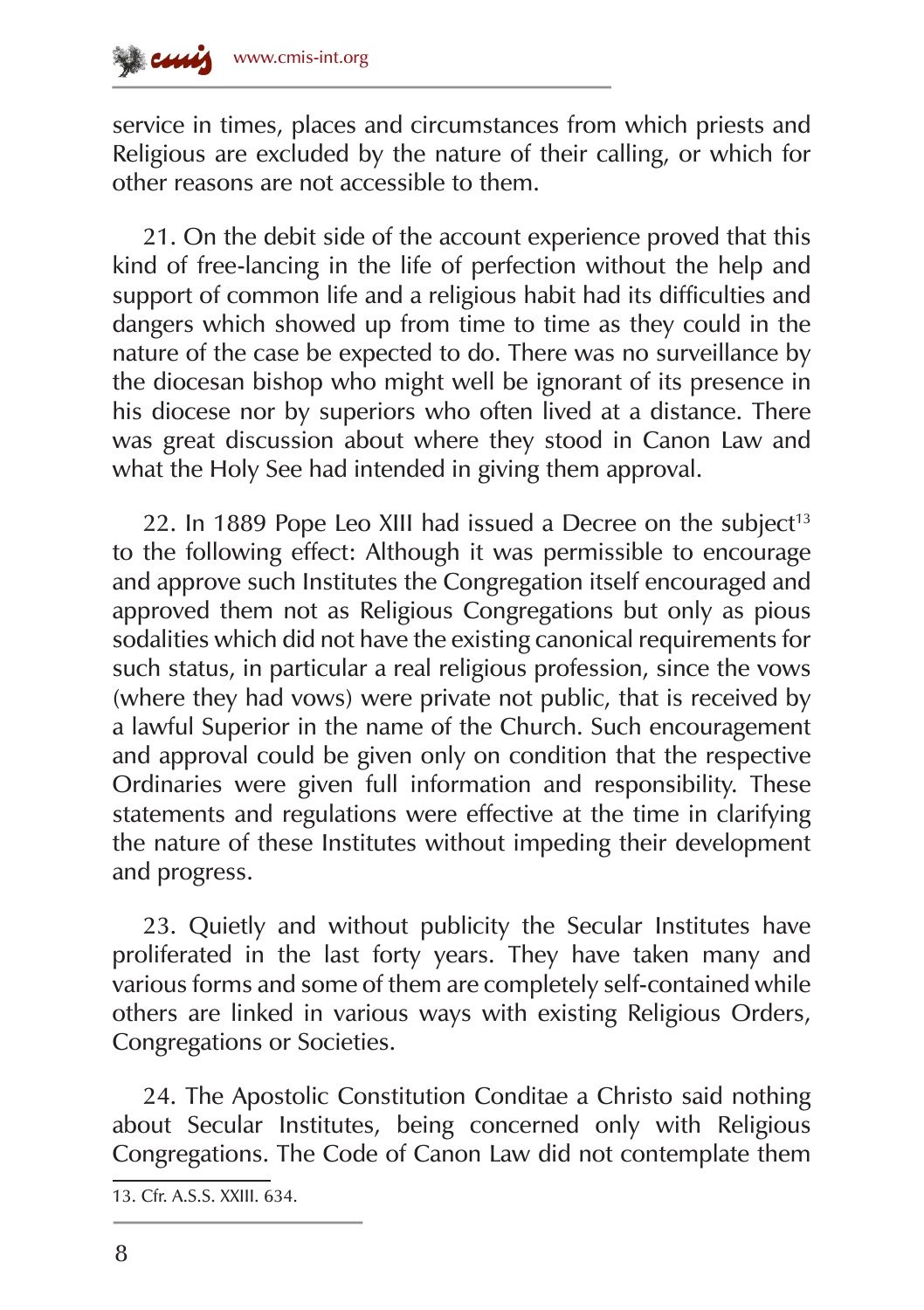service in times, places and circumstances from which priests and Religious are excluded by the nature of their calling, or which for other reasons are not accessible to them.

21. On the debit side of the account experience proved that this kind of free-lancing in the life of perfection without the help and support of common life and a religious habit had its difficulties and dangers which showed up from time to time as they could in the nature of the case be expected to do. There was no surveillance by the diocesan bishop who might well be ignorant of its presence in his diocese nor by superiors who often lived at a distance. There was great discussion about where they stood in Canon Law and what the Holy See had intended in giving them approval.

22. In 1889 Pope Leo XIII had issued a Decree on the subject<sup>13</sup> to the following effect: Although it was permissible to encourage and approve such Institutes the Congregation itself encouraged and approved them not as Religious Congregations but only as pious sodalities which did not have the existing canonical requirements for such status, in particular a real religious profession, since the vows (where they had vows) were private not public, that is received by a lawful Superior in the name of the Church. Such encouragement and approval could be given only on condition that the respective Ordinaries were given full information and responsibility. These statements and regulations were effective at the time in clarifying the nature of these Institutes without impeding their development and progress.

23. Quietly and without publicity the Secular Institutes have proliferated in the last forty years. They have taken many and various forms and some of them are completely self-contained while others are linked in various ways with existing Religious Orders, Congregations or Societies.

24. The Apostolic Constitution Conditae a Christo said nothing about Secular Institutes, being concerned only with Religious Congregations. The Code of Canon Law did not contemplate them

<sup>13.</sup> Cfr. A.S.S. XXIII. 634.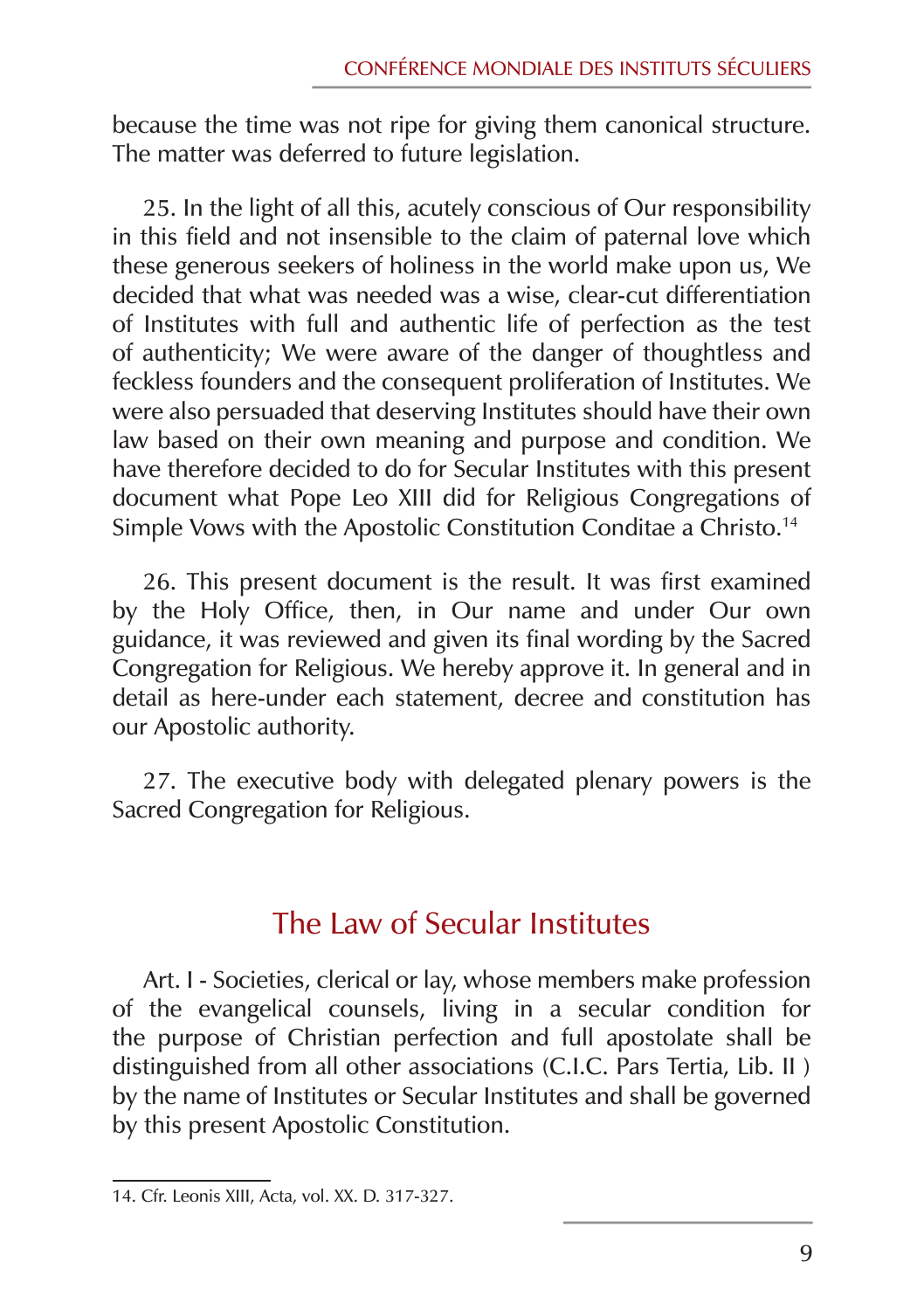because the time was not ripe for giving them canonical structure. The matter was deferred to future legislation.

25. In the light of all this, acutely conscious of Our responsibility in this field and not insensible to the claim of paternal love which these generous seekers of holiness in the world make upon us, We decided that what was needed was a wise, clear‑cut differentiation of Institutes with full and authentic life of perfection as the test of authenticity; We were aware of the danger of thoughtless and feckless founders and the consequent proliferation of Institutes. We were also persuaded that deserving Institutes should have their own law based on their own meaning and purpose and condition. We have therefore decided to do for Secular Institutes with this present document what Pope Leo XIII did for Religious Congregations of Simple Vows with the Apostolic Constitution Conditae a Christo.14

26. This present document is the result. It was first examined by the Holy Office, then, in Our name and under Our own guidance, it was reviewed and given its final wording by the Sacred Congregation for Religious. We hereby approve it. In general and in detail as here‑under each statement, decree and constitution has our Apostolic authority.

27. The executive body with delegated plenary powers is the Sacred Congregation for Religious.

### The Law of Secular Institutes

Art. I - Societies, clerical or lay, whose members make profession of the evangelical counsels, living in a secular condition for the purpose of Christian perfection and full apostolate shall be distinguished from all other associations (C.I.C. Pars Tertia, Lib. II ) by the name of Institutes or Secular Institutes and shall be governed by this present Apostolic Constitution.

<sup>14.</sup> Cfr. Leonis XIII, Acta, vol. XX. D. 317‑327.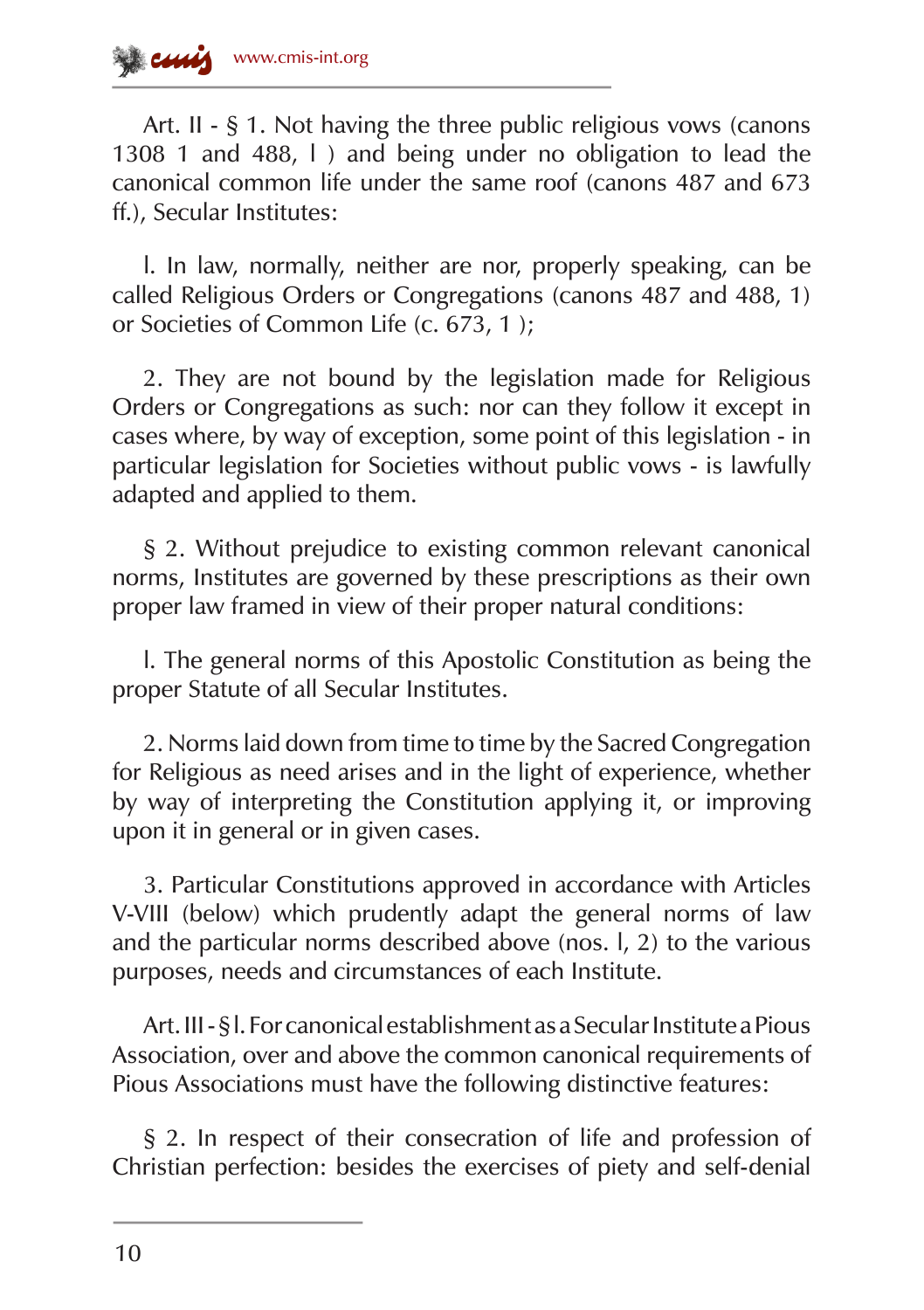

Art. II - § 1. Not having the three public religious vows (canons 1308 1 and 488, l ) and being under no obligation to lead the canonical common life under the same roof (canons 487 and 673 ff.), Secular Institutes:

l. In law, normally, neither are nor, properly speaking, can be called Religious Orders or Congregations (canons 487 and 488, 1) or Societies of Common Life (c. 673, 1 );

2. They are not bound by the legislation made for Religious Orders or Congregations as such: nor can they follow it except in cases where, by way of exception, some point of this legislation ‑ in particular legislation for Societies without public vows - is lawfully adapted and applied to them.

§ 2. Without prejudice to existing common relevant canonical norms, Institutes are governed by these prescriptions as their own proper law framed in view of their proper natural conditions:

l. The general norms of this Apostolic Constitution as being the proper Statute of all Secular Institutes.

2. Norms laid down from time to time by the Sacred Congregation for Religious as need arises and in the light of experience, whether by way of interpreting the Constitution applying it, or improving upon it in general or in given cases.

3. Particular Constitutions approved in accordance with Articles V-VIII (below) which prudently adapt the general norms of law and the particular norms described above (nos. l, 2) to the various purposes, needs and circumstances of each Institute.

Art. III ‑ § l. For canonical establishment as a Secular Institute a Pious Association, over and above the common canonical requirements of Pious Associations must have the following distinctive features:

§ 2. In respect of their consecration of life and profession of Christian perfection: besides the exercises of piety and self-denial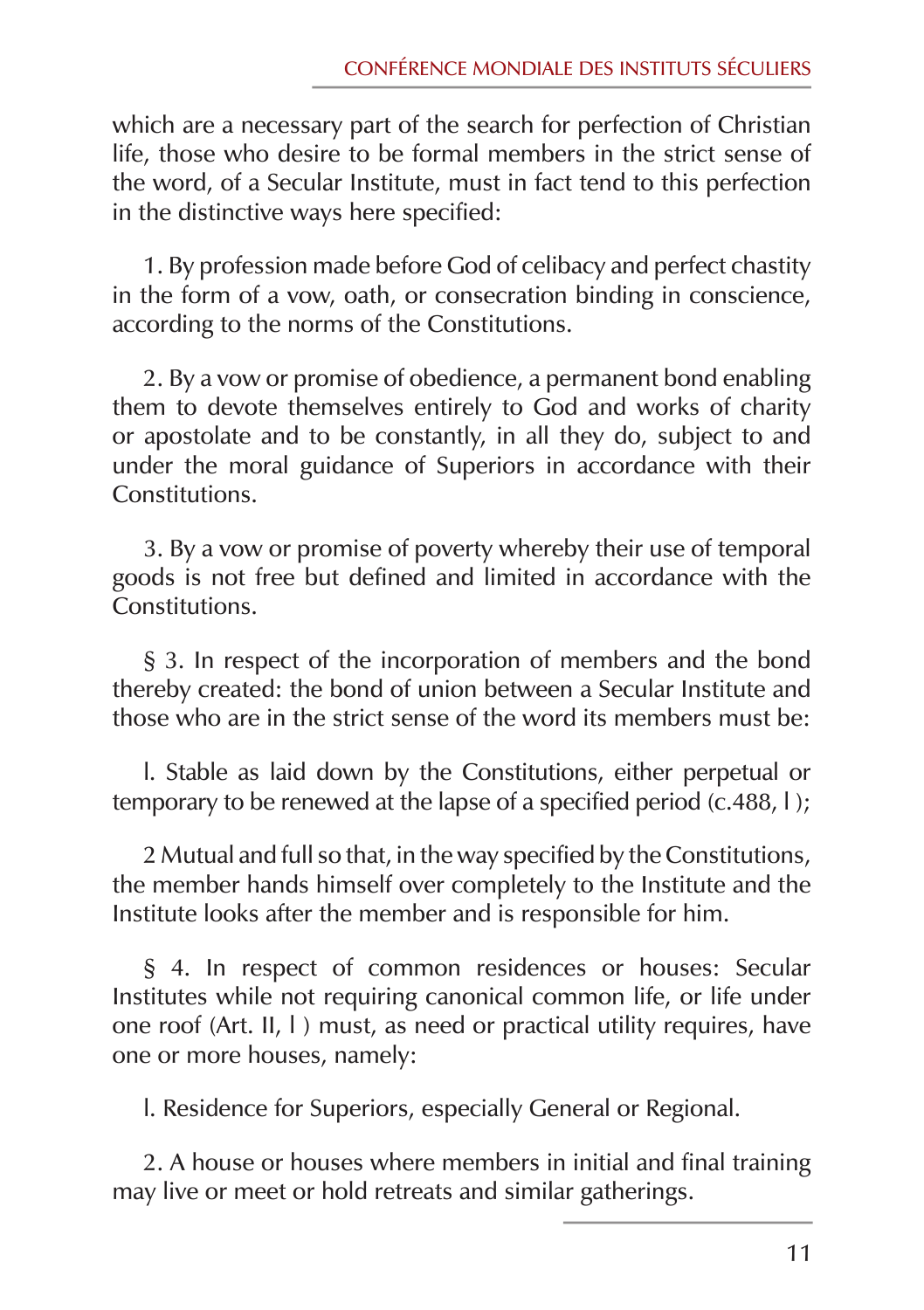which are a necessary part of the search for perfection of Christian life, those who desire to be formal members in the strict sense of the word, of a Secular Institute, must in fact tend to this perfection in the distinctive ways here specified:

1. By profession made before God of celibacy and perfect chastity in the form of a vow, oath, or consecration binding in conscience, according to the norms of the Constitutions.

2. By a vow or promise of obedience, a permanent bond enabling them to devote themselves entirely to God and works of charity or apostolate and to be constantly, in all they do, subject to and under the moral guidance of Superiors in accordance with their Constitutions.

3. By a vow or promise of poverty whereby their use of temporal goods is not free but defined and limited in accordance with the Constitutions.

§ 3. In respect of the incorporation of members and the bond thereby created: the bond of union between a Secular Institute and those who are in the strict sense of the word its members must be:

l. Stable as laid down by the Constitutions, either perpetual or temporary to be renewed at the lapse of a specified period (c.488, l );

2 Mutual and full so that, in the way specified by the Constitutions, the member hands himself over completely to the Institute and the Institute looks after the member and is responsible for him.

§ 4. In respect of common residences or houses: Secular Institutes while not requiring canonical common life, or life under one roof (Art. II, l ) must, as need or practical utility requires, have one or more houses, namely:

l. Residence for Superiors, especially General or Regional.

2. A house or houses where members in initial and final training may live or meet or hold retreats and similar gatherings.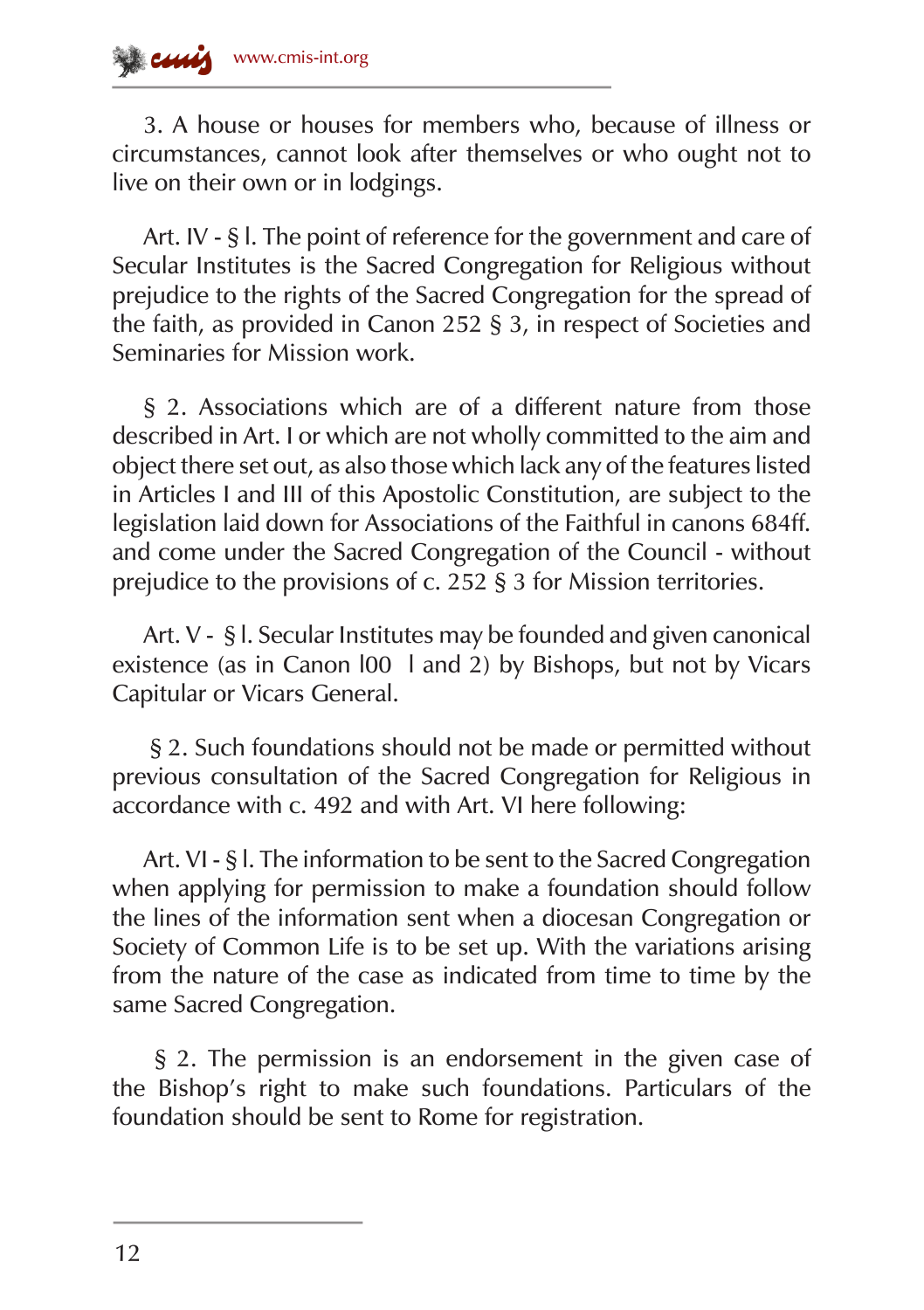3. A house or houses for members who, because of illness or circumstances, cannot look after themselves or who ought not to live on their own or in lodgings.

Art. IV - § l. The point of reference for the government and care of Secular Institutes is the Sacred Congregation for Religious without prejudice to the rights of the Sacred Congregation for the spread of the faith, as provided in Canon 252 § 3, in respect of Societies and Seminaries for Mission work.

§ 2. Associations which are of a different nature from those described in Art. I or which are not wholly committed to the aim and object there set out, as also those which lack any of the features listed in Articles I and III of this Apostolic Constitution, are subject to the legislation laid down for Associations of the Faithful in canons 684ff. and come under the Sacred Congregation of the Council - without prejudice to the provisions of c. 252 § 3 for Mission territories.

Art. V ‑ § l. Secular Institutes may be founded and given canonical existence (as in Canon l00 l and 2) by Bishops, but not by Vicars Capitular or Vicars General.

 § 2. Such foundations should not be made or permitted without previous consultation of the Sacred Congregation for Religious in accordance with c. 492 and with Art. VI here following:

Art. VI - § I. The information to be sent to the Sacred Congregation when applying for permission to make a foundation should follow the lines of the information sent when a diocesan Congregation or Society of Common Life is to be set up. With the variations arising from the nature of the case as indicated from time to time by the same Sacred Congregation.

 § 2. The permission is an endorsement in the given case of the Bishop's right to make such foundations. Particulars of the foundation should be sent to Rome for registration.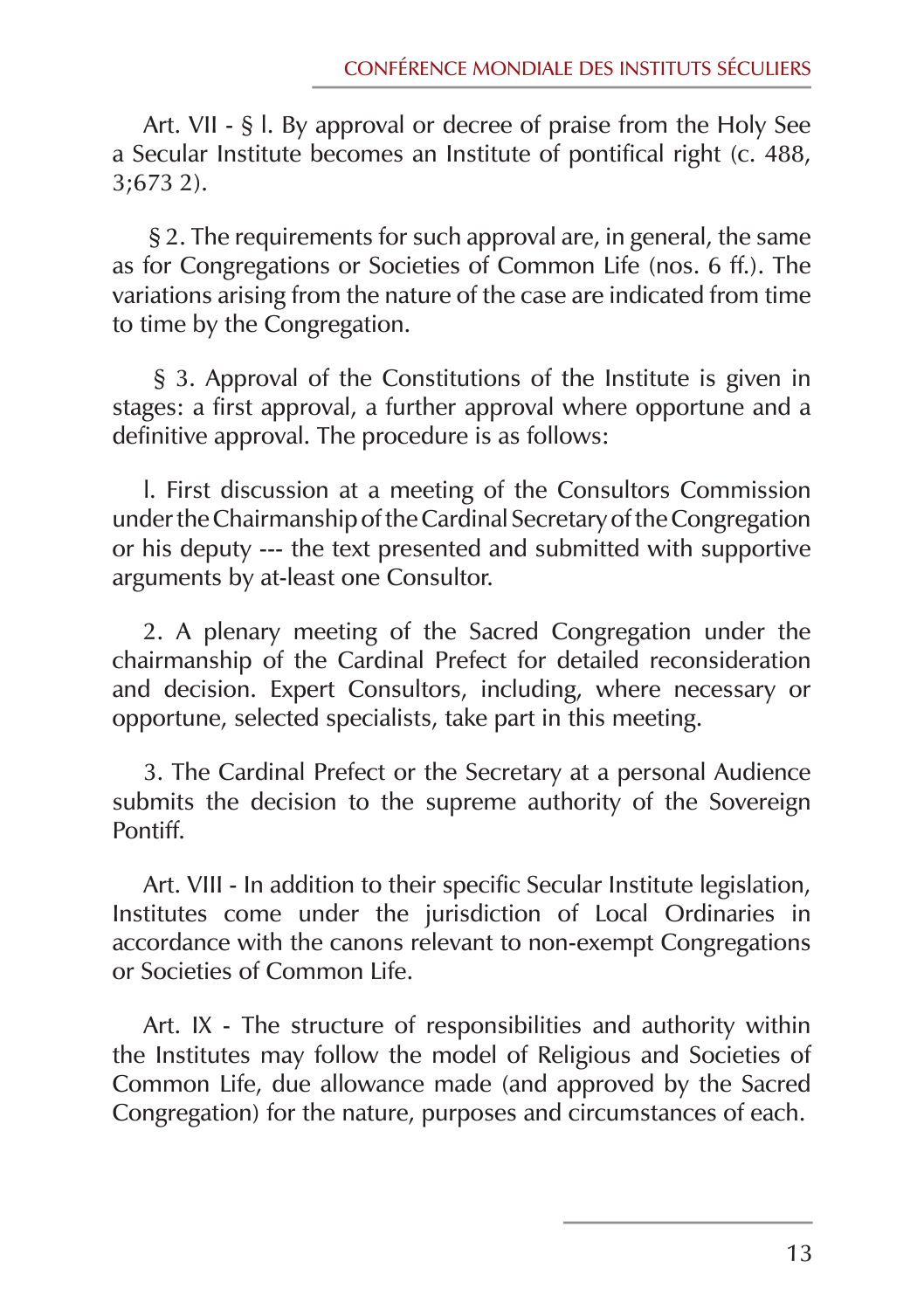Art. VII ‑ § l. By approval or decree of praise from the Holy See a Secular Institute becomes an Institute of pontifical right (c. 488, 3;673 2).

 § 2. The requirements for such approval are, in general, the same as for Congregations or Societies of Common Life (nos. 6 ff.). The variations arising from the nature of the case are indicated from time to time by the Congregation.

 § 3. Approval of the Constitutions of the Institute is given in stages: a first approval, a further approval where opportune and a definitive approval. The procedure is as follows:

l. First discussion at a meeting of the Consultors Commission under the Chairmanship of the Cardinal Secretary of the Congregation or his deputy --- the text presented and submitted with supportive arguments by at-least one Consultor.

2. A plenary meeting of the Sacred Congregation under the chairmanship of the Cardinal Prefect for detailed reconsideration and decision. Expert Consultors, including, where necessary or opportune, selected specialists, take part in this meeting.

3. The Cardinal Prefect or the Secretary at a personal Audience submits the decision to the supreme authority of the Sovereign Pontiff.

Art. VIII - In addition to their specific Secular Institute legislation, Institutes come under the jurisdiction of Local Ordinaries in accordance with the canons relevant to non-exempt Congregations or Societies of Common Life.

Art. IX ‑ The structure of responsibilities and authority within the Institutes may follow the model of Religious and Societies of Common Life, due allowance made (and approved by the Sacred Congregation) for the nature, purposes and circumstances of each.